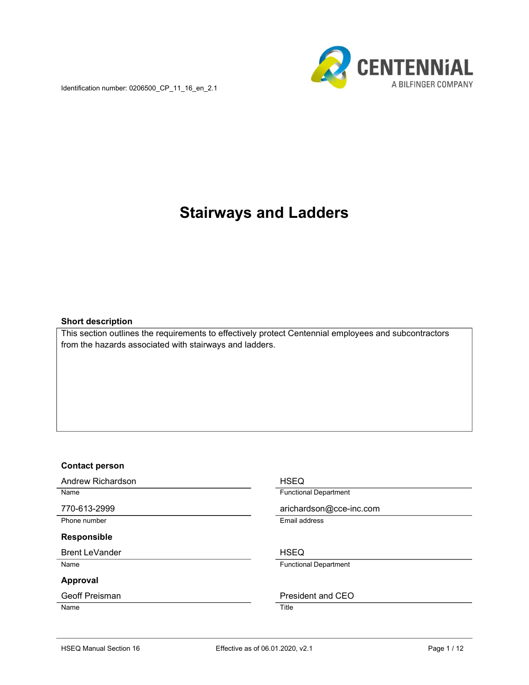Identification number: 0206500\_CP\_11\_16\_en\_2.1



# Stairways and Ladders

#### Short description

This section outlines the requirements to effectively protect Centennial employees and subcontractors from the hazards associated with stairways and ladders.

#### Contact person

Andrew Richardson **HSEQ** 

Phone number **Email address** 

#### Responsible

Brent LeVander No. 1999 and 1999 and 1999 and 1999 and 1999 and 1999 and 1999 and 1999 and 1999 and 1999 and 1

#### Approval

Name Title

Name **Functional Department** 

770-613-2999 arichardson@cce-inc.com

Name **Name Functional Department** 

Geoff Preisman **President** and CEO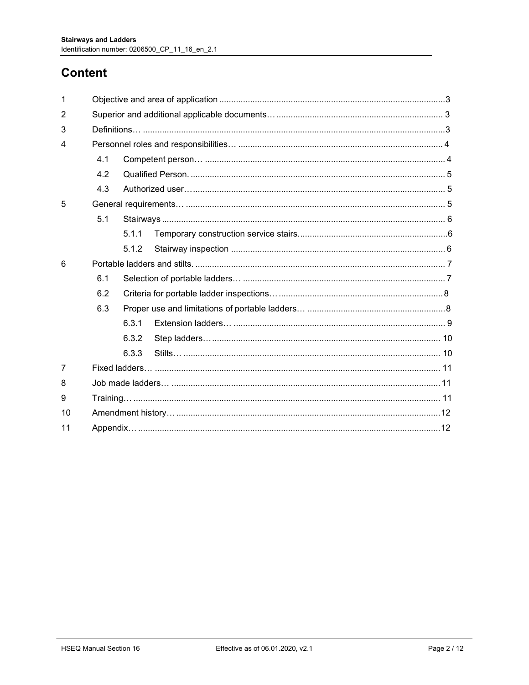## **Content**

| 4.1 |       |  |  |  |  |
|-----|-------|--|--|--|--|
| 4.2 |       |  |  |  |  |
| 4.3 |       |  |  |  |  |
|     |       |  |  |  |  |
| 5.1 |       |  |  |  |  |
|     | 5.1.1 |  |  |  |  |
|     | 5.1.2 |  |  |  |  |
|     |       |  |  |  |  |
| 6.1 |       |  |  |  |  |
| 6.2 |       |  |  |  |  |
| 6.3 |       |  |  |  |  |
|     | 6.3.1 |  |  |  |  |
|     | 6.3.2 |  |  |  |  |
|     | 6.3.3 |  |  |  |  |
|     |       |  |  |  |  |
|     |       |  |  |  |  |
|     |       |  |  |  |  |
|     |       |  |  |  |  |
|     |       |  |  |  |  |
|     |       |  |  |  |  |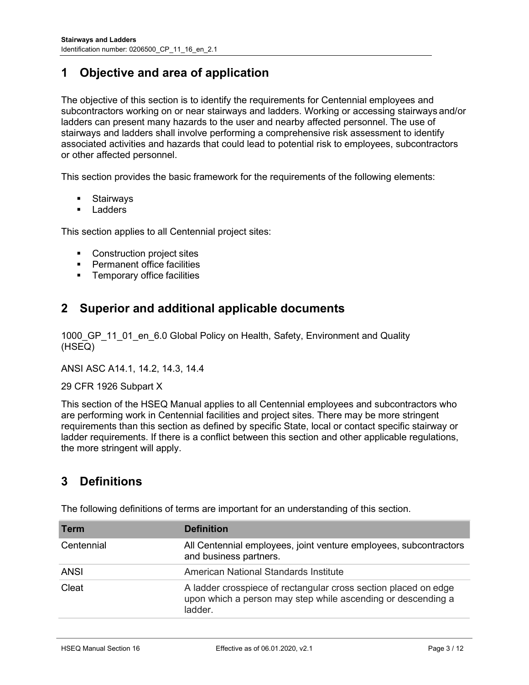### 1 Objective and area of application

The objective of this section is to identify the requirements for Centennial employees and subcontractors working on or near stairways and ladders. Working or accessing stairways and/or ladders can present many hazards to the user and nearby affected personnel. The use of stairways and ladders shall involve performing a comprehensive risk assessment to identify associated activities and hazards that could lead to potential risk to employees, subcontractors or other affected personnel.

This section provides the basic framework for the requirements of the following elements:

- **Stairways**
- **Ladders**

This section applies to all Centennial project sites:

- Construction project sites
- **•** Permanent office facilities
- **Temporary office facilities**

### 2 Superior and additional applicable documents

1000 GP 11 01 en 6.0 Global Policy on Health, Safety, Environment and Quality (HSEQ)

ANSI ASC A14.1, 14.2, 14.3, 14.4

#### 29 CFR 1926 Subpart X

This section of the HSEQ Manual applies to all Centennial employees and subcontractors who are performing work in Centennial facilities and project sites. There may be more stringent requirements than this section as defined by specific State, local or contact specific stairway or ladder requirements. If there is a conflict between this section and other applicable regulations, the more stringent will apply.

### 3 Definitions

| <b>Term</b> | <b>Definition</b>                                                                                                                          |
|-------------|--------------------------------------------------------------------------------------------------------------------------------------------|
| Centennial  | All Centennial employees, joint venture employees, subcontractors<br>and business partners.                                                |
| <b>ANSI</b> | American National Standards Institute                                                                                                      |
| Cleat       | A ladder crosspiece of rectangular cross section placed on edge<br>upon which a person may step while ascending or descending a<br>ladder. |

The following definitions of terms are important for an understanding of this section.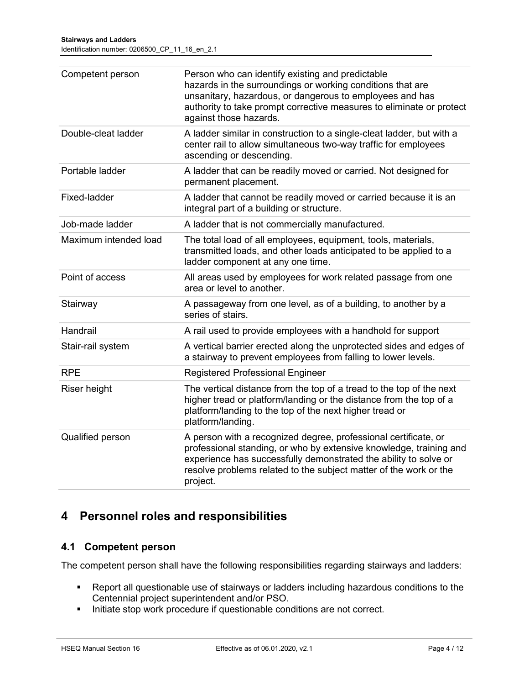| Competent person      | Person who can identify existing and predictable<br>hazards in the surroundings or working conditions that are<br>unsanitary, hazardous, or dangerous to employees and has<br>authority to take prompt corrective measures to eliminate or protect<br>against those hazards.               |
|-----------------------|--------------------------------------------------------------------------------------------------------------------------------------------------------------------------------------------------------------------------------------------------------------------------------------------|
| Double-cleat ladder   | A ladder similar in construction to a single-cleat ladder, but with a<br>center rail to allow simultaneous two-way traffic for employees<br>ascending or descending.                                                                                                                       |
| Portable ladder       | A ladder that can be readily moved or carried. Not designed for<br>permanent placement.                                                                                                                                                                                                    |
| Fixed-ladder          | A ladder that cannot be readily moved or carried because it is an<br>integral part of a building or structure.                                                                                                                                                                             |
| Job-made ladder       | A ladder that is not commercially manufactured.                                                                                                                                                                                                                                            |
| Maximum intended load | The total load of all employees, equipment, tools, materials,<br>transmitted loads, and other loads anticipated to be applied to a<br>ladder component at any one time.                                                                                                                    |
| Point of access       | All areas used by employees for work related passage from one<br>area or level to another.                                                                                                                                                                                                 |
| Stairway              | A passageway from one level, as of a building, to another by a<br>series of stairs.                                                                                                                                                                                                        |
| Handrail              | A rail used to provide employees with a handhold for support                                                                                                                                                                                                                               |
| Stair-rail system     | A vertical barrier erected along the unprotected sides and edges of<br>a stairway to prevent employees from falling to lower levels.                                                                                                                                                       |
| <b>RPE</b>            | <b>Registered Professional Engineer</b>                                                                                                                                                                                                                                                    |
| Riser height          | The vertical distance from the top of a tread to the top of the next<br>higher tread or platform/landing or the distance from the top of a<br>platform/landing to the top of the next higher tread or<br>platform/landing.                                                                 |
| Qualified person      | A person with a recognized degree, professional certificate, or<br>professional standing, or who by extensive knowledge, training and<br>experience has successfully demonstrated the ability to solve or<br>resolve problems related to the subject matter of the work or the<br>project. |

### 4 Personnel roles and responsibilities

### 4.1 Competent person

The competent person shall have the following responsibilities regarding stairways and ladders:

- Report all questionable use of stairways or ladders including hazardous conditions to the Centennial project superintendent and/or PSO.
- Initiate stop work procedure if questionable conditions are not correct.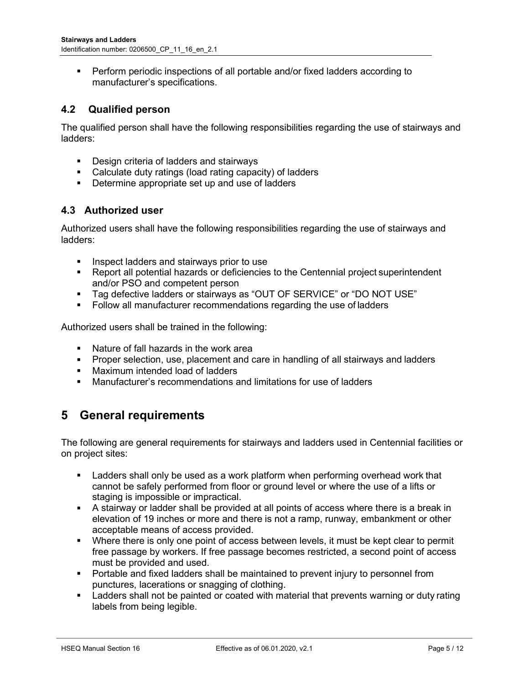Perform periodic inspections of all portable and/or fixed ladders according to manufacturer's specifications.

#### 4.2 Qualified person

The qualified person shall have the following responsibilities regarding the use of stairways and ladders:

- **•** Design criteria of ladders and stairways
- Calculate duty ratings (load rating capacity) of ladders
- Determine appropriate set up and use of ladders

#### 4.3 Authorized user

Authorized users shall have the following responsibilities regarding the use of stairways and ladders:

- **Inspect ladders and stairways prior to use**
- Report all potential hazards or deficiencies to the Centennial project superintendent and/or PSO and competent person
- Tag defective ladders or stairways as "OUT OF SERVICE" or "DO NOT USE"
- **Follow all manufacturer recommendations regarding the use of ladders**

Authorized users shall be trained in the following:

- Nature of fall hazards in the work area
- **Proper selection, use, placement and care in handling of all stairways and ladders**
- **Maximum intended load of ladders**
- Manufacturer's recommendations and limitations for use of ladders

### 5 General requirements

The following are general requirements for stairways and ladders used in Centennial facilities or on project sites:

- **EXTE Adders shall only be used as a work platform when performing overhead work that** cannot be safely performed from floor or ground level or where the use of a lifts or staging is impossible or impractical.
- A stairway or ladder shall be provided at all points of access where there is a break in elevation of 19 inches or more and there is not a ramp, runway, embankment or other acceptable means of access provided.
- Where there is only one point of access between levels, it must be kept clear to permit free passage by workers. If free passage becomes restricted, a second point of access must be provided and used.
- Portable and fixed ladders shall be maintained to prevent injury to personnel from punctures, lacerations or snagging of clothing.
- Ladders shall not be painted or coated with material that prevents warning or duty rating labels from being legible.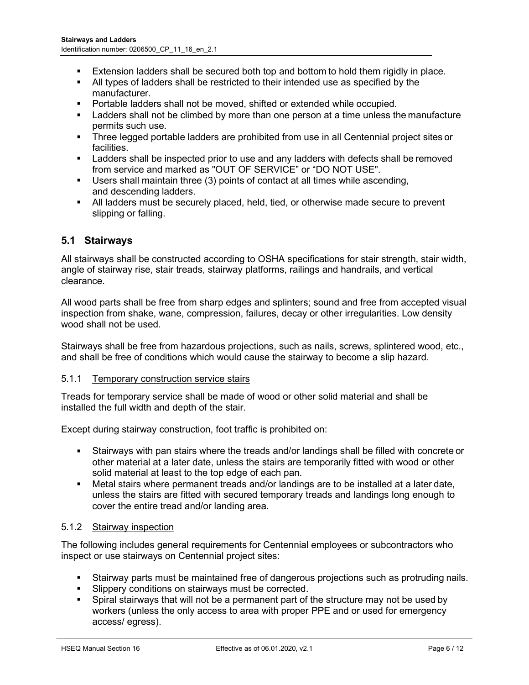- Extension ladders shall be secured both top and bottom to hold them rigidly in place.
- All types of ladders shall be restricted to their intended use as specified by the manufacturer.
- Portable ladders shall not be moved, shifted or extended while occupied.
- Ladders shall not be climbed by more than one person at a time unless the manufacture permits such use.
- Three legged portable ladders are prohibited from use in all Centennial project sites or facilities.
- Ladders shall be inspected prior to use and any ladders with defects shall be removed from service and marked as "OUT OF SERVICE" or "DO NOT USE".
- Users shall maintain three (3) points of contact at all times while ascending, and descending ladders.
- All ladders must be securely placed, held, tied, or otherwise made secure to prevent slipping or falling.

#### 5.1 Stairways

All stairways shall be constructed according to OSHA specifications for stair strength, stair width, angle of stairway rise, stair treads, stairway platforms, railings and handrails, and vertical clearance.

All wood parts shall be free from sharp edges and splinters; sound and free from accepted visual inspection from shake, wane, compression, failures, decay or other irregularities. Low density wood shall not be used.

Stairways shall be free from hazardous projections, such as nails, screws, splintered wood, etc., and shall be free of conditions which would cause the stairway to become a slip hazard.

#### 5.1.1 Temporary construction service stairs

Treads for temporary service shall be made of wood or other solid material and shall be installed the full width and depth of the stair.

Except during stairway construction, foot traffic is prohibited on:

- Stairways with pan stairs where the treads and/or landings shall be filled with concrete or other material at a later date, unless the stairs are temporarily fitted with wood or other solid material at least to the top edge of each pan.
- Metal stairs where permanent treads and/or landings are to be installed at a later date, unless the stairs are fitted with secured temporary treads and landings long enough to cover the entire tread and/or landing area.

#### 5.1.2 Stairway inspection

The following includes general requirements for Centennial employees or subcontractors who inspect or use stairways on Centennial project sites:

- Stairway parts must be maintained free of dangerous projections such as protruding nails.
- Slippery conditions on stairways must be corrected.
- **Spiral stairways that will not be a permanent part of the structure may not be used by** workers (unless the only access to area with proper PPE and or used for emergency access/ egress).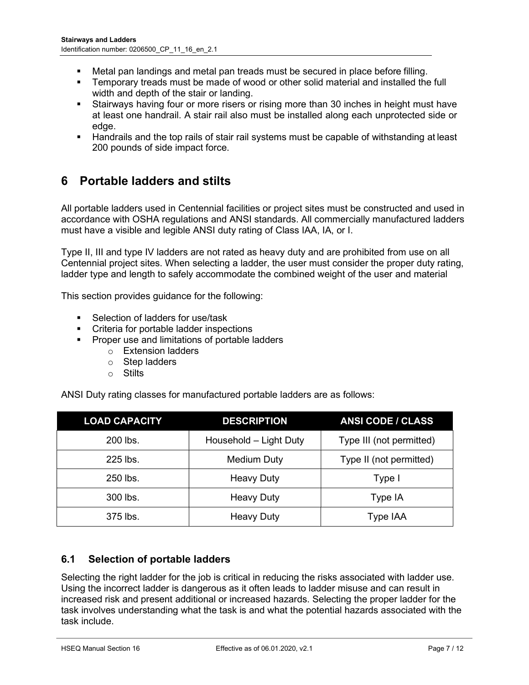- Metal pan landings and metal pan treads must be secured in place before filling.
- Temporary treads must be made of wood or other solid material and installed the full width and depth of the stair or landing.
- **Stairways having four or more risers or rising more than 30 inches in height must have** at least one handrail. A stair rail also must be installed along each unprotected side or edge.
- Handrails and the top rails of stair rail systems must be capable of withstanding at least 200 pounds of side impact force.

### 6 Portable ladders and stilts

All portable ladders used in Centennial facilities or project sites must be constructed and used in accordance with OSHA regulations and ANSI standards. All commercially manufactured ladders must have a visible and legible ANSI duty rating of Class IAA, IA, or I.

Type II, III and type IV ladders are not rated as heavy duty and are prohibited from use on all Centennial project sites. When selecting a ladder, the user must consider the proper duty rating, ladder type and length to safely accommodate the combined weight of the user and material

This section provides guidance for the following:

- Selection of ladders for use/task
- **•** Criteria for portable ladder inspections
- **•** Proper use and limitations of portable ladders
	- o Extension ladders
		- o Step ladders
		- o Stilts

ANSI Duty rating classes for manufactured portable ladders are as follows:

| <b>LOAD CAPACITY</b> | <b>DESCRIPTION</b>     | <b>ANSI CODE / CLASS</b> |
|----------------------|------------------------|--------------------------|
| 200 lbs.             | Household - Light Duty | Type III (not permitted) |
| $225$ lbs.           | <b>Medium Duty</b>     | Type II (not permitted)  |
| 250 lbs.             | Heavy Duty             | Type I                   |
| 300 lbs.             | <b>Heavy Duty</b>      | Type IA                  |
| 375 lbs.             | Heavy Duty             | Type IAA                 |

#### 6.1 Selection of portable ladders

Selecting the right ladder for the job is critical in reducing the risks associated with ladder use. Using the incorrect ladder is dangerous as it often leads to ladder misuse and can result in increased risk and present additional or increased hazards. Selecting the proper ladder for the task involves understanding what the task is and what the potential hazards associated with the task include.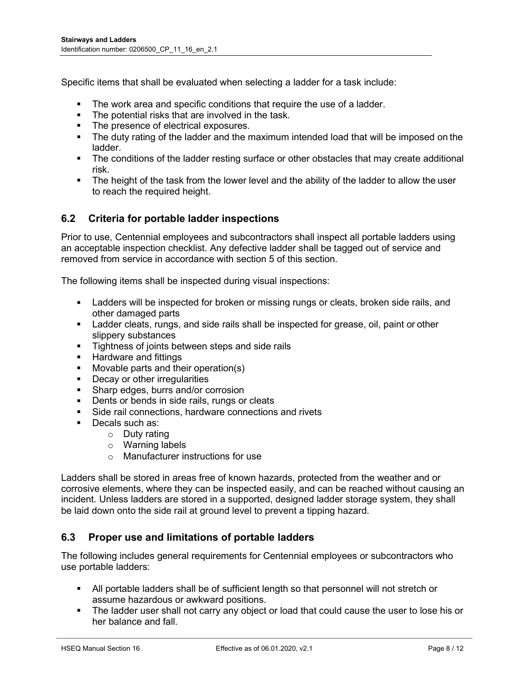Specific items that shall be evaluated when selecting a ladder for a task include:

- The work area and specific conditions that require the use of a ladder.
- The potential risks that are involved in the task.
- The presence of electrical exposures.
- The duty rating of the ladder and the maximum intended load that will be imposed on the ladder.
- The conditions of the ladder resting surface or other obstacles that may create additional risk.
- **The height of the task from the lower level and the ability of the ladder to allow the user** to reach the required height.

#### 6.2 Criteria for portable ladder inspections

Prior to use, Centennial employees and subcontractors shall inspect all portable ladders using an acceptable inspection checklist. Any defective ladder shall be tagged out of service and removed from service in accordance with section 5 of this section.

The following items shall be inspected during visual inspections:

- Ladders will be inspected for broken or missing rungs or cleats, broken side rails, and other damaged parts
- Ladder cleats, rungs, and side rails shall be inspected for grease, oil, paint or other slippery substances
- **Tightness of joints between steps and side rails**
- **Hardware and fittings**
- **Movable parts and their operation(s)**
- **Decay or other irregularities**
- Sharp edges, burrs and/or corrosion
- Dents or bends in side rails, rungs or cleats
- Side rail connections, hardware connections and rivets
- Decals such as:
	- o Duty rating
	- o Warning labels
	- o Manufacturer instructions for use

Ladders shall be stored in areas free of known hazards, protected from the weather and or corrosive elements, where they can be inspected easily, and can be reached without causing an incident. Unless ladders are stored in a supported, designed ladder storage system, they shall be laid down onto the side rail at ground level to prevent a tipping hazard.

#### 6.3 Proper use and limitations of portable ladders

The following includes general requirements for Centennial employees or subcontractors who use portable ladders:

- All portable ladders shall be of sufficient length so that personnel will not stretch or assume hazardous or awkward positions.
- The ladder user shall not carry any object or load that could cause the user to lose his or her balance and fall.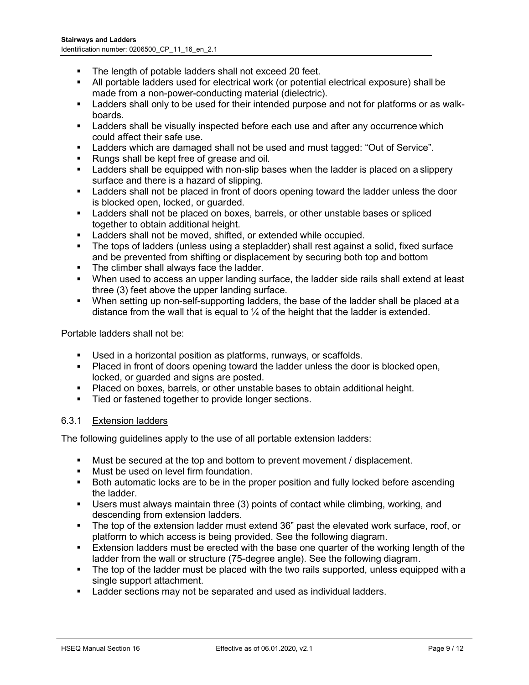- The length of potable ladders shall not exceed 20 feet.
- All portable ladders used for electrical work (or potential electrical exposure) shall be made from a non-power-conducting material (dielectric).
- Ladders shall only to be used for their intended purpose and not for platforms or as walkboards.
- Ladders shall be visually inspected before each use and after any occurrence which could affect their safe use.
- **Ladders which are damaged shall not be used and must tagged: "Out of Service".**
- Rungs shall be kept free of grease and oil.
- **EXECT** Ladders shall be equipped with non-slip bases when the ladder is placed on a slippery surface and there is a hazard of slipping.
- Ladders shall not be placed in front of doors opening toward the ladder unless the door is blocked open, locked, or guarded.
- **Ladders shall not be placed on boxes, barrels, or other unstable bases or spliced** together to obtain additional height.
- **EXE** Ladders shall not be moved, shifted, or extended while occupied.
- The tops of ladders (unless using a stepladder) shall rest against a solid, fixed surface and be prevented from shifting or displacement by securing both top and bottom
- The climber shall always face the ladder.
- When used to access an upper landing surface, the ladder side rails shall extend at least three (3) feet above the upper landing surface.
- When setting up non-self-supporting ladders, the base of the ladder shall be placed at a distance from the wall that is equal to  $\frac{1}{4}$  of the height that the ladder is extended.

Portable ladders shall not be:

- Used in a horizontal position as platforms, runways, or scaffolds.
- Placed in front of doors opening toward the ladder unless the door is blocked open, locked, or guarded and signs are posted.
- Placed on boxes, barrels, or other unstable bases to obtain additional height.
- **Tied or fastened together to provide longer sections.**

#### 6.3.1 Extension ladders

The following guidelines apply to the use of all portable extension ladders:

- Must be secured at the top and bottom to prevent movement / displacement.
- **Must be used on level firm foundation.**
- Both automatic locks are to be in the proper position and fully locked before ascending the ladder.
- Users must always maintain three (3) points of contact while climbing, working, and descending from extension ladders.
- The top of the extension ladder must extend 36" past the elevated work surface, roof, or platform to which access is being provided. See the following diagram.
- Extension ladders must be erected with the base one quarter of the working length of the ladder from the wall or structure (75-degree angle). See the following diagram.
- The top of the ladder must be placed with the two rails supported, unless equipped with a single support attachment.
- Ladder sections may not be separated and used as individual ladders.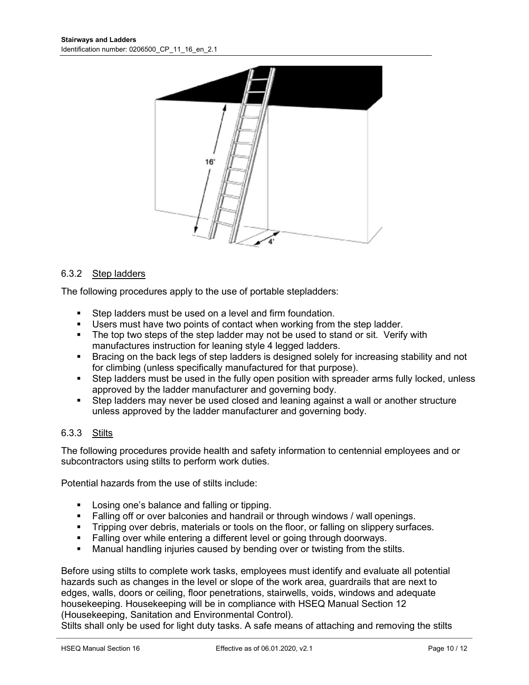

#### 6.3.2 Step ladders

The following procedures apply to the use of portable stepladders:

- Step ladders must be used on a level and firm foundation.
- Users must have two points of contact when working from the step ladder.
- The top two steps of the step ladder may not be used to stand or sit. Verify with manufactures instruction for leaning style 4 legged ladders.
- **Bracing on the back legs of step ladders is designed solely for increasing stability and not** for climbing (unless specifically manufactured for that purpose).
- Step ladders must be used in the fully open position with spreader arms fully locked, unless approved by the ladder manufacturer and governing body.
- Step ladders may never be used closed and leaning against a wall or another structure unless approved by the ladder manufacturer and governing body.

#### 6.3.3 Stilts

The following procedures provide health and safety information to centennial employees and or subcontractors using stilts to perform work duties.

Potential hazards from the use of stilts include:

- **Losing one's balance and falling or tipping.**
- Falling off or over balconies and handrail or through windows / wall openings.
- **Tripping over debris, materials or tools on the floor, or falling on slippery surfaces.**
- **Falling over while entering a different level or going through doorways.**
- **Manual handling injuries caused by bending over or twisting from the stilts.**

Before using stilts to complete work tasks, employees must identify and evaluate all potential hazards such as changes in the level or slope of the work area, guardrails that are next to edges, walls, doors or ceiling, floor penetrations, stairwells, voids, windows and adequate housekeeping. Housekeeping will be in compliance with HSEQ Manual Section 12 (Housekeeping, Sanitation and Environmental Control).

Stilts shall only be used for light duty tasks. A safe means of attaching and removing the stilts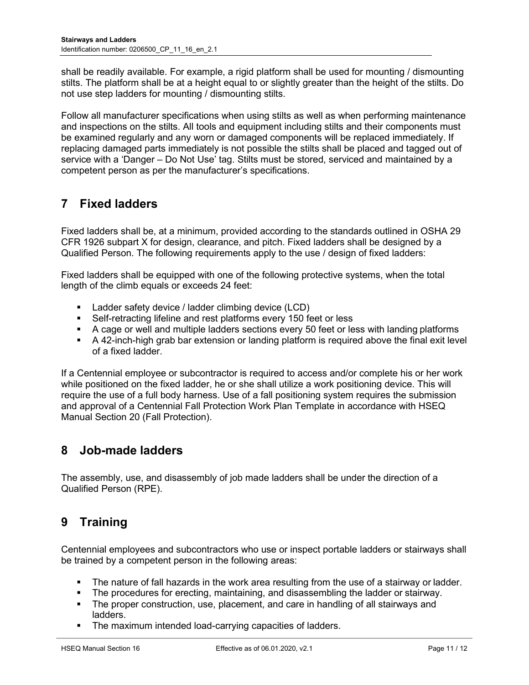shall be readily available. For example, a rigid platform shall be used for mounting / dismounting stilts. The platform shall be at a height equal to or slightly greater than the height of the stilts. Do not use step ladders for mounting / dismounting stilts.

Follow all manufacturer specifications when using stilts as well as when performing maintenance and inspections on the stilts. All tools and equipment including stilts and their components must be examined regularly and any worn or damaged components will be replaced immediately. If replacing damaged parts immediately is not possible the stilts shall be placed and tagged out of service with a 'Danger – Do Not Use' tag. Stilts must be stored, serviced and maintained by a competent person as per the manufacturer's specifications.

## 7 Fixed ladders

Fixed ladders shall be, at a minimum, provided according to the standards outlined in OSHA 29 CFR 1926 subpart X for design, clearance, and pitch. Fixed ladders shall be designed by a Qualified Person. The following requirements apply to the use / design of fixed ladders:

Fixed ladders shall be equipped with one of the following protective systems, when the total length of the climb equals or exceeds 24 feet:

- Ladder safety device / ladder climbing device (LCD)
- Self-retracting lifeline and rest platforms every 150 feet or less
- A cage or well and multiple ladders sections every 50 feet or less with landing platforms
- A 42-inch-high grab bar extension or landing platform is required above the final exit level of a fixed ladder.

If a Centennial employee or subcontractor is required to access and/or complete his or her work while positioned on the fixed ladder, he or she shall utilize a work positioning device. This will require the use of a full body harness. Use of a fall positioning system requires the submission and approval of a Centennial Fall Protection Work Plan Template in accordance with HSEQ Manual Section 20 (Fall Protection).

### 8 Job-made ladders

The assembly, use, and disassembly of job made ladders shall be under the direction of a Qualified Person (RPE).

### 9 Training

Centennial employees and subcontractors who use or inspect portable ladders or stairways shall be trained by a competent person in the following areas:

- The nature of fall hazards in the work area resulting from the use of a stairway or ladder.
- The procedures for erecting, maintaining, and disassembling the ladder or stairway.
- The proper construction, use, placement, and care in handling of all stairways and ladders.
- **The maximum intended load-carrying capacities of ladders.**